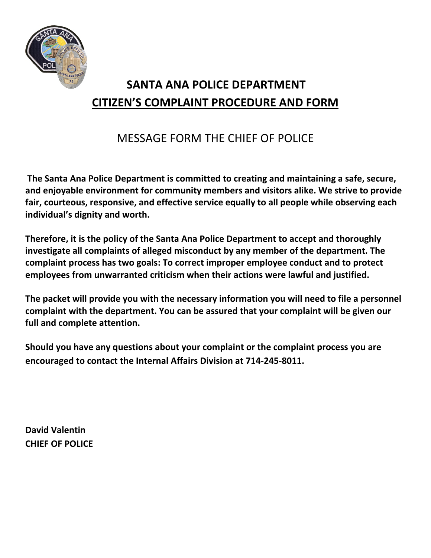

# **SANTA ANA POLICE DEPARTMENT CITIZEN'S COMPLAINT PROCEDURE AND FORM**

## MESSAGE FORM THE CHIEF OF POLICE

**The Santa Ana Police Department is committed to creating and maintaining a safe, secure, and enjoyable environment for community members and visitors alike. We strive to provide fair, courteous, responsive, and effective service equally to all people while observing each individual's dignity and worth.**

**Therefore, it is the policy of the Santa Ana Police Department to accept and thoroughly investigate all complaints of alleged misconduct by any member of the department. The complaint process has two goals: To correct improper employee conduct and to protect employees from unwarranted criticism when their actions were lawful and justified.**

**The packet will provide you with the necessary information you will need to file a personnel complaint with the department. You can be assured that your complaint will be given our full and complete attention.**

**Should you have any questions about your complaint or the complaint process you are encouraged to contact the Internal Affairs Division at 714-245-8011.**

**David Valentin CHIEF OF POLICE**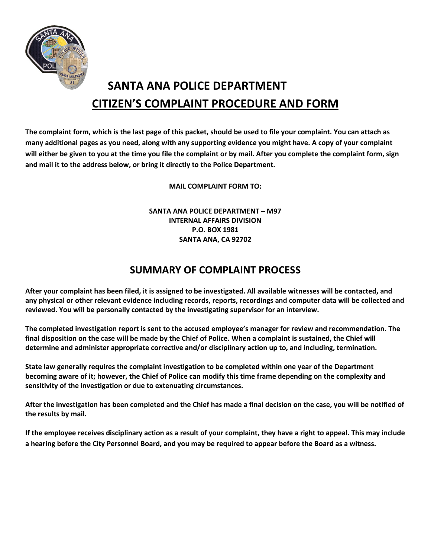

## **SANTA ANA POLICE DEPARTMENT CITIZEN'S COMPLAINT PROCEDURE AND FORM**

**The complaint form, which is the last page of this packet, should be used to file your complaint. You can attach as many additional pages as you need, along with any supporting evidence you might have. A copy of your complaint will either be given to you at the time you file the complaint or by mail. After you complete the complaint form, sign and mail it to the address below, or bring it directly to the Police Department.**

**MAIL COMPLAINT FORM TO:**

**SANTA ANA POLICE DEPARTMENT – M97 INTERNAL AFFAIRS DIVISION P.O. BOX 1981 SANTA ANA, CA 92702**

### **SUMMARY OF COMPLAINT PROCESS**

**After your complaint has been filed, it is assigned to be investigated. All available witnesses will be contacted, and any physical or other relevant evidence including records, reports, recordings and computer data will be collected and reviewed. You will be personally contacted by the investigating supervisor for an interview.**

**The completed investigation report is sent to the accused employee's manager for review and recommendation. The final disposition on the case will be made by the Chief of Police. When a complaint is sustained, the Chief will determine and administer appropriate corrective and/or disciplinary action up to, and including, termination.**

**State law generally requires the complaint investigation to be completed within one year of the Department becoming aware of it; however, the Chief of Police can modify this time frame depending on the complexity and sensitivity of the investigation or due to extenuating circumstances.**

**After the investigation has been completed and the Chief has made a final decision on the case, you will be notified of the results by mail.**

**If the employee receives disciplinary action as a result of your complaint, they have a right to appeal. This may include a hearing before the City Personnel Board, and you may be required to appear before the Board as a witness.**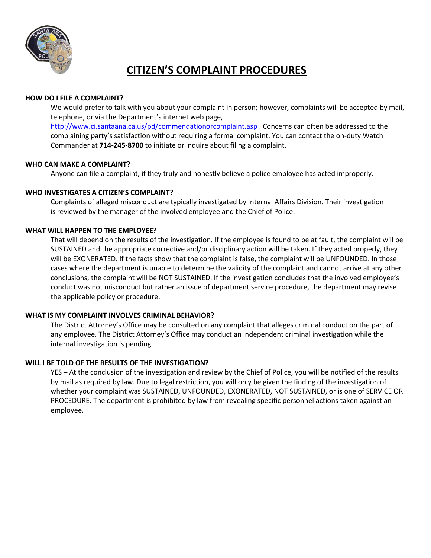

## **CITIZEN'S COMPLAINT PROCEDURES**

#### **HOW DO I FILE A COMPLAINT?**

We would prefer to talk with you about your complaint in person; however, complaints will be accepted by mail, telephone, or via the Department's internet web page,

<http://www.ci.santaana.ca.us/pd/commendationorcomplaint.asp> . Concerns can often be addressed to the complaining party's satisfaction without requiring a formal complaint. You can contact the on-duty Watch Commander at **714-245-8700** to initiate or inquire about filing a complaint.

#### **WHO CAN MAKE A COMPLAINT?**

Anyone can file a complaint, if they truly and honestly believe a police employee has acted improperly.

#### **WHO INVESTIGATES A CITIZEN'S COMPLAINT?**

Complaints of alleged misconduct are typically investigated by Internal Affairs Division. Their investigation is reviewed by the manager of the involved employee and the Chief of Police.

#### **WHAT WILL HAPPEN TO THE EMPLOYEE?**

That will depend on the results of the investigation. If the employee is found to be at fault, the complaint will be SUSTAINED and the appropriate corrective and/or disciplinary action will be taken. If they acted properly, they will be EXONERATED. If the facts show that the complaint is false, the complaint will be UNFOUNDED. In those cases where the department is unable to determine the validity of the complaint and cannot arrive at any other conclusions, the complaint will be NOT SUSTAINED. If the investigation concludes that the involved employee's conduct was not misconduct but rather an issue of department service procedure, the department may revise the applicable policy or procedure.

#### **WHAT IS MY COMPLAINT INVOLVES CRIMINAL BEHAVIOR?**

The District Attorney's Office may be consulted on any complaint that alleges criminal conduct on the part of any employee. The District Attorney's Office may conduct an independent criminal investigation while the internal investigation is pending.

#### **WILL I BE TOLD OF THE RESULTS OF THE INVESTIGATION?**

YES – At the conclusion of the investigation and review by the Chief of Police, you will be notified of the results by mail as required by law. Due to legal restriction, you will only be given the finding of the investigation of whether your complaint was SUSTAINED, UNFOUNDED, EXONERATED, NOT SUSTAINED, or is one of SERVICE OR PROCEDURE. The department is prohibited by law from revealing specific personnel actions taken against an employee.